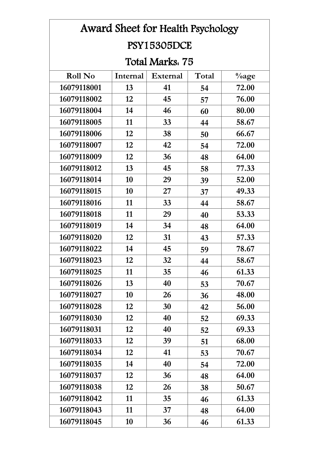| Award Sheet for Health Psychology |          |                 |       |          |  |  |  |
|-----------------------------------|----------|-----------------|-------|----------|--|--|--|
| <b>PSY15305DCE</b>                |          |                 |       |          |  |  |  |
| Total Marks. 75                   |          |                 |       |          |  |  |  |
| <b>Roll No</b>                    | Internal | <b>External</b> | Total | $\%$ age |  |  |  |
| 16079118001                       | 13       | 41              | 54    | 72.00    |  |  |  |
| 16079118002                       | 12       | 45              | 57    | 76.00    |  |  |  |
| 16079118004                       | 14       | 46              | 60    | 80.00    |  |  |  |
| 16079118005                       | 11       | 33              | 44    | 58.67    |  |  |  |
| 16079118006                       | 12       | 38              | 50    | 66.67    |  |  |  |
| 16079118007                       | 12       | 42              | 54    | 72.00    |  |  |  |
| 16079118009                       | 12       | 36              | 48    | 64.00    |  |  |  |
| 16079118012                       | 13       | 45              | 58    | 77.33    |  |  |  |
| 16079118014                       | 10       | 29              | 39    | 52.00    |  |  |  |
| 16079118015                       | 10       | 27              | 37    | 49.33    |  |  |  |
| 16079118016                       | 11       | 33              | 44    | 58.67    |  |  |  |
| 16079118018                       | 11       | 29              | 40    | 53.33    |  |  |  |
| 16079118019                       | 14       | 34              | 48    | 64.00    |  |  |  |
| 16079118020                       | 12       | 31              | 43    | 57.33    |  |  |  |
| 16079118022                       | 14       | 45              | 59    | 78.67    |  |  |  |
| 16079118023                       | 12       | 32              | 44    | 58.67    |  |  |  |
| 16079118025                       | 11       | 35              | 46    | 61.33    |  |  |  |
| 16079118026                       | 13       | 40              | 53    | 70.67    |  |  |  |
| 16079118027                       | 10       | 26              | 36    | 48.00    |  |  |  |
| 16079118028                       | 12       | 30              | 42    | 56.00    |  |  |  |
| 16079118030                       | 12       | 40              | 52    | 69.33    |  |  |  |
| 16079118031                       | 12       | 40              | 52    | 69.33    |  |  |  |
| 16079118033                       | 12       | 39              | 51    | 68.00    |  |  |  |
| 16079118034                       | 12       | 41              | 53    | 70.67    |  |  |  |
| 16079118035                       | 14       | 40              | 54    | 72.00    |  |  |  |
| 16079118037                       | 12       | 36              | 48    | 64.00    |  |  |  |
| 16079118038                       | 12       | 26              | 38    | 50.67    |  |  |  |
| 16079118042                       | 11       | 35              | 46    | 61.33    |  |  |  |
| 16079118043                       | 11       | 37              | 48    | 64.00    |  |  |  |
| 16079118045                       | 10       | 36              | 46    | 61.33    |  |  |  |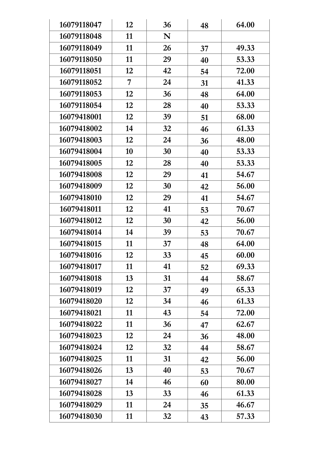| 16079118047 | 12 | 36 | 48 | 64.00 |
|-------------|----|----|----|-------|
| 16079118048 | 11 | N  |    |       |
| 16079118049 | 11 | 26 | 37 | 49.33 |
| 16079118050 | 11 | 29 | 40 | 53.33 |
| 16079118051 | 12 | 42 | 54 | 72.00 |
| 16079118052 | 7  | 24 | 31 | 41.33 |
| 16079118053 | 12 | 36 | 48 | 64.00 |
| 16079118054 | 12 | 28 | 40 | 53.33 |
| 16079418001 | 12 | 39 | 51 | 68.00 |
| 16079418002 | 14 | 32 | 46 | 61.33 |
| 16079418003 | 12 | 24 | 36 | 48.00 |
| 16079418004 | 10 | 30 | 40 | 53.33 |
| 16079418005 | 12 | 28 | 40 | 53.33 |
| 16079418008 | 12 | 29 | 41 | 54.67 |
| 16079418009 | 12 | 30 | 42 | 56.00 |
| 16079418010 | 12 | 29 | 41 | 54.67 |
| 16079418011 | 12 | 41 | 53 | 70.67 |
| 16079418012 | 12 | 30 | 42 | 56.00 |
| 16079418014 | 14 | 39 | 53 | 70.67 |
| 16079418015 | 11 | 37 | 48 | 64.00 |
| 16079418016 | 12 | 33 | 45 | 60.00 |
| 16079418017 | 11 | 41 | 52 | 69.33 |
| 16079418018 | 13 | 31 | 44 | 58.67 |
| 16079418019 | 12 | 37 | 49 | 65.33 |
| 16079418020 | 12 | 34 | 46 | 61.33 |
| 16079418021 | 11 | 43 | 54 | 72.00 |
| 16079418022 | 11 | 36 | 47 | 62.67 |
| 16079418023 | 12 | 24 | 36 | 48.00 |
| 16079418024 | 12 | 32 | 44 | 58.67 |
| 16079418025 | 11 | 31 | 42 | 56.00 |
| 16079418026 | 13 | 40 | 53 | 70.67 |
| 16079418027 | 14 | 46 | 60 | 80.00 |
| 16079418028 | 13 | 33 | 46 | 61.33 |
| 16079418029 | 11 | 24 | 35 | 46.67 |
| 16079418030 | 11 | 32 | 43 | 57.33 |